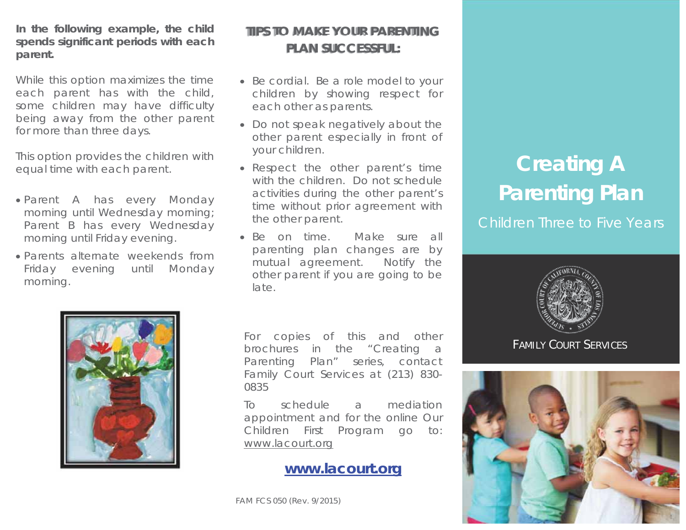**In the following example, the child spends significant periods with each parent.** 

While this option maximizes the time each parent has with the child, some children may have difficulty being away from the other parent for more than three days.

This option provides the children with equal time with each parent.

- Parent A has every Monday morning until Wednesday morning; Parent B has every Wednesday morning until Friday evening.
- x Parents alternate weekends from Friday evening until Monday morning.

# **TIPS TO MAKE YOUR PARENTING PLAN SUCCESSFUL:**

- Be cordial. Be a role model to your children by showing respect for each other as parents.
- Do not speak negatively about the other parent especially in front of your children.
- Respect the other parent's time with the children. Do not schedule activities during the other parent's time without prior agreement with the other parent.
- Be on time. Make sure all parenting plan changes are by mutual agreement. Notify the other parent if you are going to be late.



For copies of this and other brochures in the "Creating a Parenting Plan" series, contact Family Court Services at (213) 830- 0835

To schedule a mediation appointment and for the online Our Children First Program go to: www.lacourt.org

## **www.lacourt.org**

FAM FCS 050 (Rev. 9/2015)

# **Creating A Parenting Plan**

Children Three to Five Years



FAMILY COURT SERVICES